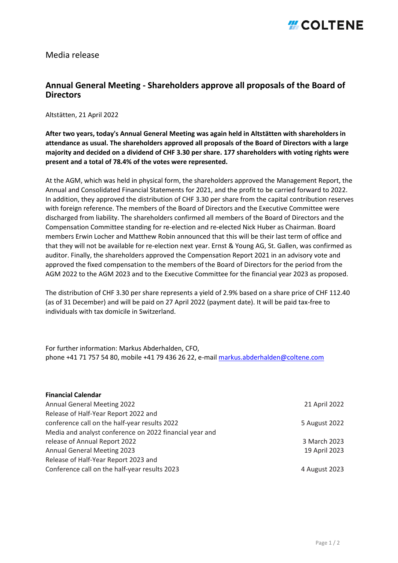## *#COLTENE*

Media release

## **Annual General Meeting - Shareholders approve all proposals of the Board of Directors**

Altstätten, 21 April 2022

**After two years, today's Annual General Meeting was again held in Altstätten with shareholders in attendance as usual. The shareholders approved all proposals of the Board of Directors with a large majority and decided on a dividend of CHF 3.30 per share. 177 shareholders with voting rights were present and a total of 78.4% of the votes were represented.**

At the AGM, which was held in physical form, the shareholders approved the Management Report, the Annual and Consolidated Financial Statements for 2021, and the profit to be carried forward to 2022. In addition, they approved the distribution of CHF 3.30 per share from the capital contribution reserves with foreign reference. The members of the Board of Directors and the Executive Committee were discharged from liability. The shareholders confirmed all members of the Board of Directors and the Compensation Committee standing for re-election and re-elected Nick Huber as Chairman. Board members Erwin Locher and Matthew Robin announced that this will be their last term of office and that they will not be available for re-election next year. Ernst & Young AG, St. Gallen, was confirmed as auditor. Finally, the shareholders approved the Compensation Report 2021 in an advisory vote and approved the fixed compensation to the members of the Board of Directors for the period from the AGM 2022 to the AGM 2023 and to the Executive Committee for the financial year 2023 as proposed.

The distribution of CHF 3.30 per share represents a yield of 2.9% based on a share price of CHF 112.40 (as of 31 December) and will be paid on 27 April 2022 (payment date). It will be paid tax-free to individuals with tax domicile in Switzerland.

For further information: Markus Abderhalden, CFO, phone +41 71 757 54 80, mobile +41 79 436 26 22, e-mail [markus.abderhalden@coltene.com](mailto:markus.abderhalden@coltene.com)

| <b>Financial Calendar</b>                               |               |
|---------------------------------------------------------|---------------|
| <b>Annual General Meeting 2022</b>                      | 21 April 2022 |
| Release of Half-Year Report 2022 and                    |               |
| conference call on the half-year results 2022           | 5 August 2022 |
| Media and analyst conference on 2022 financial year and |               |
| release of Annual Report 2022                           | 3 March 2023  |
| <b>Annual General Meeting 2023</b>                      | 19 April 2023 |
| Release of Half-Year Report 2023 and                    |               |
| Conference call on the half-year results 2023           | 4 August 2023 |